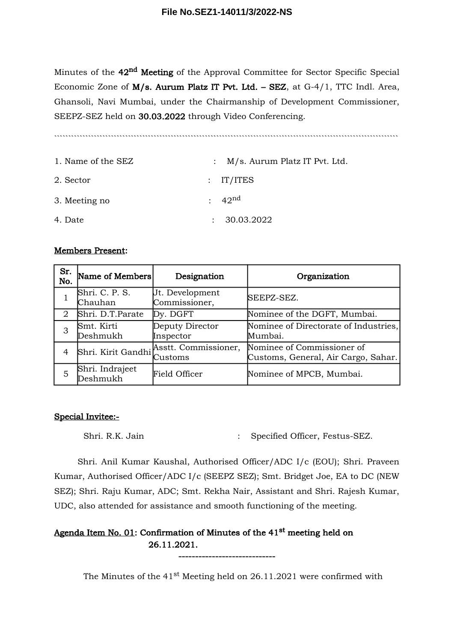Minutes of the 42<sup>nd</sup> Meeting of the Approval Committee for Sector Specific Special Economic Zone of M/s. Aurum Platz IT Pvt. Ltd. – SEZ, at G-4/1, TTC Indl. Area, Ghansoli, Navi Mumbai, under the Chairmanship of Development Commissioner, SEEPZ-SEZ held on 30.03.2022 through Video Conferencing.

`````````````````````````````````````````````````````````````````````````````````````````````````````````````````````````

| 1. Name of the SEZ | : $M/s$ . Aurum Platz IT Pvt. Ltd. |
|--------------------|------------------------------------|
| 2. Sector          | $:$ IT/ITES                        |
| 3. Meeting no      | $: 42^{\text{nd}}$                 |
| 4. Date            | : 30.03.2022                       |

#### Members Present:

| Sr.<br>No. | Name of Members<br>Designation                                |                                         | Organization                                                      |  |
|------------|---------------------------------------------------------------|-----------------------------------------|-------------------------------------------------------------------|--|
|            | Shri. C. P. S.<br>Jt. Development<br>Commissioner,<br>Chauhan |                                         | SEEPZ-SEZ.                                                        |  |
| 2          | Shri. D.T.Parate<br>Dy. DGFT                                  |                                         | Nominee of the DGFT, Mumbai.                                      |  |
| 3          | Deputy Director<br>Smt. Kirti<br>Deshmukh<br>Inspector        |                                         | Nominee of Directorate of Industries,<br>Mumbai.                  |  |
| 4          |                                                               | Shri. Kirit Gandhi Asstt. Commissioner, | Nominee of Commissioner of<br>Customs, General, Air Cargo, Sahar. |  |
| 5          | Shri. Indrajeet<br>Deshmukh                                   | <b>Field Officer</b>                    | Nominee of MPCB, Mumbai.                                          |  |

#### Special Invitee:-

Shri. R.K. Jain : Specified Officer, Festus-SEZ.

Shri. Anil Kumar Kaushal, Authorised Officer/ADC I/c (EOU); Shri. Praveen Kumar, Authorised Officer/ADC I/c (SEEPZ SEZ); Smt. Bridget Joe, EA to DC (NEW SEZ); Shri. Raju Kumar, ADC; Smt. Rekha Nair, Assistant and Shri. Rajesh Kumar, UDC, also attended for assistance and smooth functioning of the meeting.

## Agenda Item No. 01: Confirmation of Minutes of the 41<sup>st</sup> meeting held on 26.11.2021.

The Minutes of the  $41^{st}$  Meeting held on 26.11.2021 were confirmed with

-----------------------------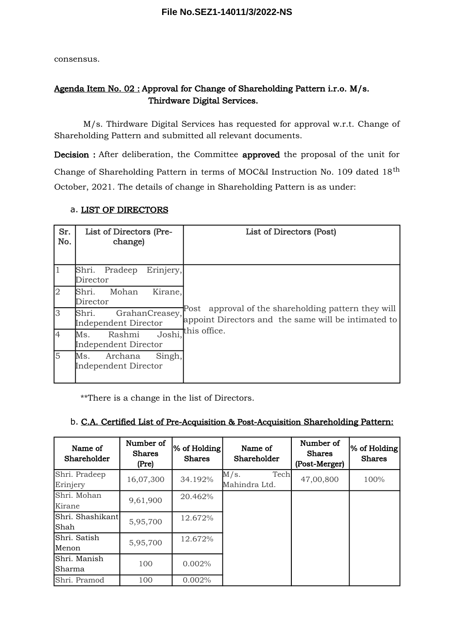consensus.

## Agenda Item No. 02 : Approval for Change of Shareholding Pattern i.r.o. M/s. Thirdware Digital Services.

M/s. Thirdware Digital Services has requested for approval w.r.t. Change of Shareholding Pattern and submitted all relevant documents.

Decision : After deliberation, the Committee approved the proposal of the unit for Change of Shareholding Pattern in terms of MOC&I Instruction No. 109 dated 18<sup>th</sup> October, 2021. The details of change in Shareholding Pattern is as under:

| Sr.<br>No.     | List of Directors (Pre-<br>change)               | List of Directors (Post)                                                                                      |
|----------------|--------------------------------------------------|---------------------------------------------------------------------------------------------------------------|
|                | Shri. Pradeep<br>Erinjery,<br>Director           |                                                                                                               |
| $\overline{2}$ | Mohan<br>Shri.<br>Kirane,<br>Director            |                                                                                                               |
| $\overline{3}$ | GrahanCreasey,<br>Shri.<br>Independent Director  | approval of the shareholding pattern they will<br>Post<br>appoint Directors and the same will be intimated to |
| $\overline{4}$ | Rashmi<br>Ms.<br>Independent Director            | Joshi, this office.                                                                                           |
| 5              | Archana<br>Ms.<br>Singh,<br>Independent Director |                                                                                                               |

### a. LIST OF DIRECTORS

\*\*There is a change in the list of Directors.

### b. C.A. Certified List of Pre-Acquisition & Post-Acquisition Shareholding Pattern:

| Name of<br>Shareholder | Number of<br><b>Shares</b><br>(Pre) | % of Holding<br><b>Shares</b> | Name of<br>Shareholder | Number of<br><b>Shares</b><br>(Post-Merger) | % of Holding<br><b>Shares</b> |
|------------------------|-------------------------------------|-------------------------------|------------------------|---------------------------------------------|-------------------------------|
| Shri. Pradeep          | 16,07,300                           | 34.192%                       | Tech<br>M/s.           | 47,00,800                                   | 100%                          |
| Erinjery               |                                     |                               | Mahindra Ltd.          |                                             |                               |
| Shri. Mohan            | 9,61,900                            | 20.462%                       |                        |                                             |                               |
| Kirane                 |                                     |                               |                        |                                             |                               |
| Shri. Shashikant       | 5,95,700                            | 12.672%                       |                        |                                             |                               |
| lShah                  |                                     |                               |                        |                                             |                               |
| Shri. Satish           | 5,95,700                            | 12.672%                       |                        |                                             |                               |
| Menon                  |                                     |                               |                        |                                             |                               |
| Shri. Manish           | 100                                 | 0.002%                        |                        |                                             |                               |
| Sharma                 |                                     |                               |                        |                                             |                               |
| Shri. Pramod           | 100                                 | 0.002%                        |                        |                                             |                               |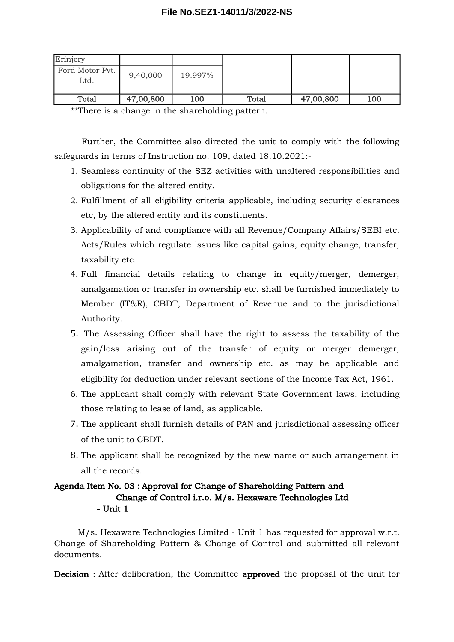| Erinjery                |           |         |       |           |     |
|-------------------------|-----------|---------|-------|-----------|-----|
| Ford Motor Pvt.<br>Ltd. | 9,40,000  | 19.997% |       |           |     |
| Total                   | 47,00,800 | 100     | Total | 47,00,800 | 100 |

\*\*There is a change in the shareholding pattern.

Further, the Committee also directed the unit to comply with the following safeguards in terms of Instruction no. 109, dated 18.10.2021:-

- 1. Seamless continuity of the SEZ activities with unaltered responsibilities and obligations for the altered entity.
- 2. Fulfillment of all eligibility criteria applicable, including security clearances etc, by the altered entity and its constituents.
- 3. Applicability of and compliance with all Revenue/Company Affairs/SEBI etc. Acts/Rules which regulate issues like capital gains, equity change, transfer, taxability etc.
- 4. Full financial details relating to change in equity/merger, demerger, amalgamation or transfer in ownership etc. shall be furnished immediately to Member (IT&R), CBDT, Department of Revenue and to the jurisdictional Authority.
- 5. The Assessing Officer shall have the right to assess the taxability of the gain/loss arising out of the transfer of equity or merger demerger, amalgamation, transfer and ownership etc. as may be applicable and eligibility for deduction under relevant sections of the Income Tax Act, 1961.
- 6. The applicant shall comply with relevant State Government laws, including those relating to lease of land, as applicable.
- 7. The applicant shall furnish details of PAN and jurisdictional assessing officer of the unit to CBDT.
- 8. The applicant shall be recognized by the new name or such arrangement in all the records.

### Agenda Item No. 03 : Approval for Change of Shareholding Pattern and Change of Control i.r.o. M/s. Hexaware Technologies Ltd - Unit 1

M/s. Hexaware Technologies Limited - Unit 1 has requested for approval w.r.t. Change of Shareholding Pattern & Change of Control and submitted all relevant documents.

Decision : After deliberation, the Committee approved the proposal of the unit for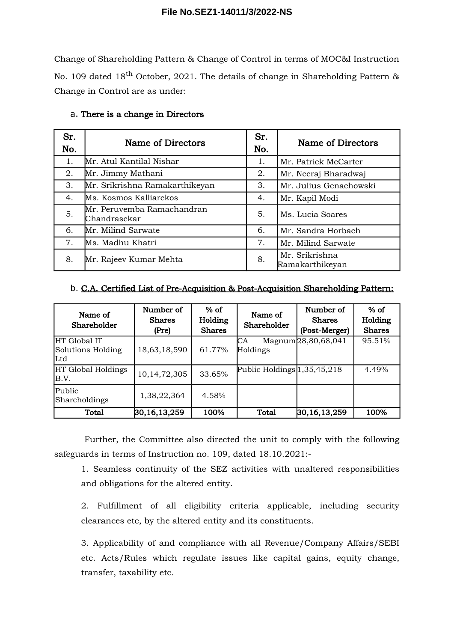Change of Shareholding Pattern & Change of Control in terms of MOC&I Instruction No. 109 dated 18<sup>th</sup> October, 2021. The details of change in Shareholding Pattern & Change in Control are as under:

| Sr.<br>No. | Name of Directors                          | Sr.<br>No. | Name of Directors                 |
|------------|--------------------------------------------|------------|-----------------------------------|
| 1.         | Mr. Atul Kantilal Nishar                   | 1.         | Mr. Patrick McCarter              |
| 2.         | Mr. Jimmy Mathani                          | 2.         | Mr. Neeraj Bharadwaj              |
| 3.         | Mr. Srikrishna Ramakarthikeyan             | 3.         | Mr. Julius Genachowski            |
| 4.         | Ms. Kosmos Kalliarekos                     | 4.         | Mr. Kapil Modi                    |
| 5.         | Mr. Peruvemba Ramachandran<br>Chandrasekar | 5.         | Ms. Lucia Soares                  |
| 6.         | Mr. Milind Sarwate                         | 6.         | Mr. Sandra Horbach                |
| 7.         | Ms. Madhu Khatri                           | 7.         | Mr. Milind Sarwate                |
| 8.         | Mr. Rajeev Kumar Mehta                     | 8.         | Mr. Srikrishna<br>Ramakarthikeyan |

#### a. There is a change in Directors

### b. C.A. Certified List of Pre-Acquisition & Post-Acquisition Shareholding Pattern:

| Name of<br>Shareholder                    | Number of<br><b>Shares</b><br>(Pre) | $%$ of<br>Holding<br><b>Shares</b> | Name of<br>Shareholder        | Number of<br><b>Shares</b><br>(Post-Merger) | $%$ of<br>Holding<br><b>Shares</b> |
|-------------------------------------------|-------------------------------------|------------------------------------|-------------------------------|---------------------------------------------|------------------------------------|
| HT Global IT<br>Solutions Holding<br>lLtd | 18,63,18,590                        | 61.77%                             | CА<br>Holdings                | Magnum <sub>28</sub> ,80,68,041             | 95.51%                             |
| HT Global Holdings<br>B.V.                | 10,14,72,305                        | 33.65%                             | Public Holdings $1,35,45,218$ |                                             | 4.49%                              |
| Public<br>Shareholdings                   | 1,38,22,364                         | 4.58%                              |                               |                                             |                                    |
| Total                                     | $ 30,16,13,259\rangle$              | 100%                               | Total                         | 30, 16, 13, 259                             | 100%                               |

Further, the Committee also directed the unit to comply with the following safeguards in terms of Instruction no. 109, dated 18.10.2021:-

1. Seamless continuity of the SEZ activities with unaltered responsibilities and obligations for the altered entity.

2. Fulfillment of all eligibility criteria applicable, including security clearances etc, by the altered entity and its constituents.

3. Applicability of and compliance with all Revenue/Company Affairs/SEBI etc. Acts/Rules which regulate issues like capital gains, equity change, transfer, taxability etc.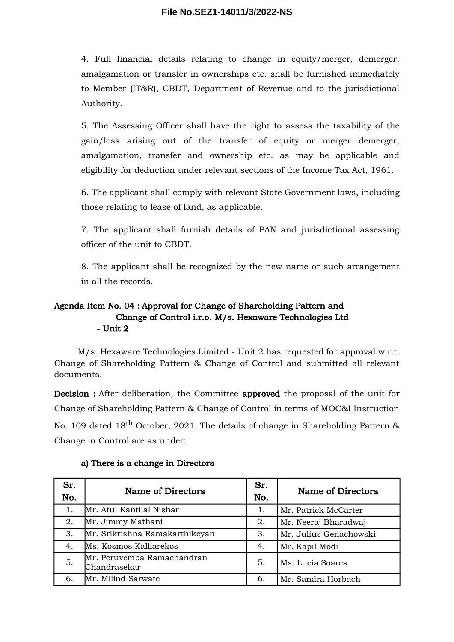4. Full financial details relating to change in equity/merger, demerger, amalgamation or transfer in ownerships etc. shall be furnished immediately to Member (IT&R), CBDT, Department of Revenue and to the jurisdictional Authority.

5. The Assessing Officer shall have the right to assess the taxability of the gain/loss arising out of the transfer of equity or merger demerger, amalgamation, transfer and ownership etc. as may be applicable and eligibility for deduction under relevant sections of the Income Tax Act, 1961.

6. The applicant shall comply with relevant State Government laws, including those relating to lease of land, as applicable.

7. The applicant shall furnish details of PAN and jurisdictional assessing officer of the unit to CBDT.

8. The applicant shall be recognized by the new name or such arrangement in all the records.

### Agenda Item No. 04 : Approval for Change of Shareholding Pattern and Change of Control i.r.o. M/s. Hexaware Technologies Ltd - Unit 2

M/s. Hexaware Technologies Limited - Unit 2 has requested for approval w.r.t. Change of Shareholding Pattern & Change of Control and submitted all relevant documents.

Decision : After deliberation, the Committee approved the proposal of the unit for Change of Shareholding Pattern & Change of Control in terms of MOC&I Instruction No. 109 dated 18<sup>th</sup> October, 2021. The details of change in Shareholding Pattern  $\&$ Change in Control are as under:

| Sr.<br>No. | Name of Directors                          | Sr.<br>No. | Name of Directors      |
|------------|--------------------------------------------|------------|------------------------|
| 1.         | Mr. Atul Kantilal Nishar                   | 1.         | Mr. Patrick McCarter   |
| 2.         | Mr. Jimmy Mathani                          | 2.         | Mr. Neeraj Bharadwaj   |
| 3.         | Mr. Srikrishna Ramakarthikeyan             | 3.         | Mr. Julius Genachowski |
| 4.         | Ms. Kosmos Kalliarekos                     | 4.         | Mr. Kapil Modi         |
| 5.         | Mr. Peruvemba Ramachandran<br>Chandrasekar | 5.         | Ms. Lucia Soares       |
| 6.         | Mr. Milind Sarwate                         | 6.         | Mr. Sandra Horbach     |

### a) There is a change in Directors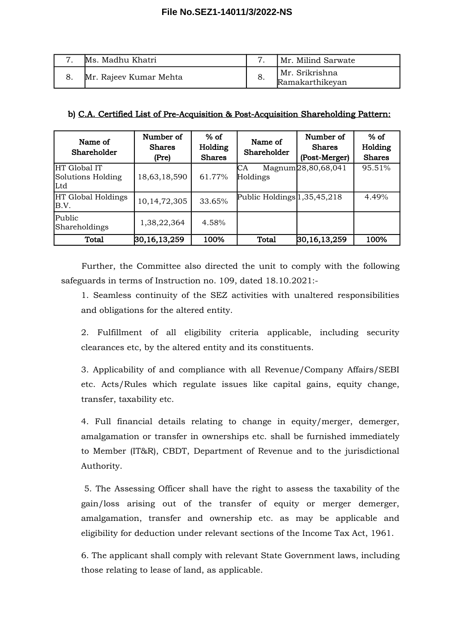| Ms. Madhu Khatri       |     | Mr. Milind Sarwate                |
|------------------------|-----|-----------------------------------|
| Mr. Rajeev Kumar Mehta | -8. | Mr. Srikrishna<br>Ramakarthikeyan |

### b) C.A. Certified List of Pre-Acquisition & Post-Acquisition Shareholding Pattern:

| Name of<br>Shareholder                    | Number of<br><b>Shares</b><br>(Pre) | $%$ of<br>Holding<br><b>Shares</b> | Name of<br>Shareholder         | Number of<br><b>Shares</b><br>(Post-Merger) | $%$ of<br>Holding<br><b>Shares</b> |
|-------------------------------------------|-------------------------------------|------------------------------------|--------------------------------|---------------------------------------------|------------------------------------|
| HT Global IT<br>Solutions Holding<br>lLtd | 18,63,18,590                        | 61.77%                             | CА<br>Holdings                 | Magnum 28,80,68,041                         | 95.51%                             |
| HT Global Holdings<br>B.V.                | 10, 14, 72, 305                     | 33.65%                             | Public Holdings $ 1,35,45,218$ |                                             | 4.49%                              |
| Public<br>Shareholdings                   | 1,38,22,364                         | 4.58%                              |                                |                                             |                                    |
| <b>Total</b>                              | 30, 16, 13, 259                     | 100%                               | Total                          | 30, 16, 13, 259                             | 100%                               |

Further, the Committee also directed the unit to comply with the following safeguards in terms of Instruction no. 109, dated 18.10.2021:-

1. Seamless continuity of the SEZ activities with unaltered responsibilities and obligations for the altered entity.

2. Fulfillment of all eligibility criteria applicable, including security clearances etc, by the altered entity and its constituents.

3. Applicability of and compliance with all Revenue/Company Affairs/SEBI etc. Acts/Rules which regulate issues like capital gains, equity change, transfer, taxability etc.

4. Full financial details relating to change in equity/merger, demerger, amalgamation or transfer in ownerships etc. shall be furnished immediately to Member (IT&R), CBDT, Department of Revenue and to the jurisdictional Authority.

5. The Assessing Officer shall have the right to assess the taxability of the gain/loss arising out of the transfer of equity or merger demerger, amalgamation, transfer and ownership etc. as may be applicable and eligibility for deduction under relevant sections of the Income Tax Act, 1961.

6. The applicant shall comply with relevant State Government laws, including those relating to lease of land, as applicable.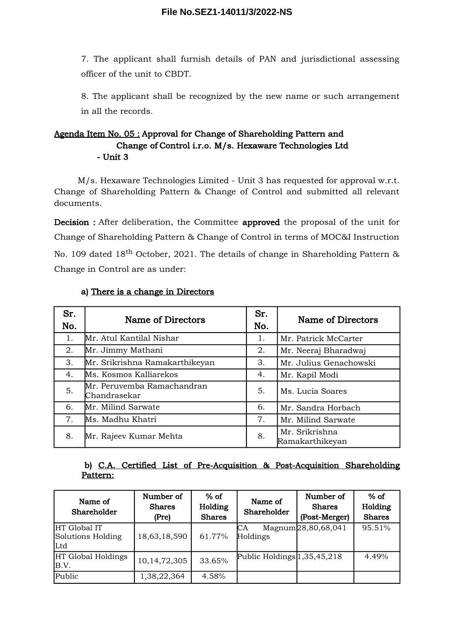7. The applicant shall furnish details of PAN and jurisdictional assessing officer of the unit to CBDT.

8. The applicant shall be recognized by the new name or such arrangement in all the records.

## Agenda Item No. 05 : Approval for Change of Shareholding Pattern and Change of Control i.r.o. M/s. Hexaware Technologies Ltd - Unit 3

M/s. Hexaware Technologies Limited - Unit 3 has requested for approval w.r.t. Change of Shareholding Pattern & Change of Control and submitted all relevant documents.

Decision : After deliberation, the Committee approved the proposal of the unit for Change of Shareholding Pattern & Change of Control in terms of MOC&I Instruction No. 109 dated 18<sup>th</sup> October, 2021. The details of change in Shareholding Pattern  $\&$ Change in Control are as under:

| Sr.<br>No. | Name of Directors                          |    | Name of Directors                 |
|------------|--------------------------------------------|----|-----------------------------------|
| 1.         | Mr. Atul Kantilal Nishar                   | 1. | Mr. Patrick McCarter              |
| 2.         | Mr. Jimmy Mathani                          | 2. | Mr. Neeraj Bharadwaj              |
| 3.         | Mr. Srikrishna Ramakarthikeyan             | 3. | Mr. Julius Genachowski            |
| 4.         | Ms. Kosmos Kalliarekos                     | 4. | Mr. Kapil Modi                    |
| 5.         | Mr. Peruvemba Ramachandran<br>Chandrasekar | 5. | Ms. Lucia Soares                  |
| 6.         | Mr. Milind Sarwate                         | 6. | Mr. Sandra Horbach                |
| 7.         | Ms. Madhu Khatri                           | 7. | Mr. Milind Sarwate                |
| 8.         | Mr. Rajeev Kumar Mehta                     | 8. | Mr. Srikrishna<br>Ramakarthikeyan |

### a) There is a change in Directors

### b) C.A. Certified List of Pre-Acquisition & Post-Acquisition Shareholding Pattern:

| Name of<br>Shareholder                    | Number of<br><b>Shares</b><br>(Pre) | $%$ of<br>Holding<br><b>Shares</b> | Name of<br>Shareholder        | Number of<br><b>Shares</b><br>(Post-Merger) | $%$ of<br>Holding<br><b>Shares</b> |
|-------------------------------------------|-------------------------------------|------------------------------------|-------------------------------|---------------------------------------------|------------------------------------|
| HT Global IT<br>Solutions Holding<br>lLtd | 18,63,18,590                        | 61.77%                             | CА<br>Holdings                | Magnum <sub>28</sub> ,80,68,041             | 95.51%                             |
| HT Global Holdings<br>B.V.                | 10, 14, 72, 305                     | 33.65%                             | Public Holdings $1,35,45,218$ |                                             | 4.49%                              |
| Public                                    | 1,38,22,364                         | 4.58%                              |                               |                                             |                                    |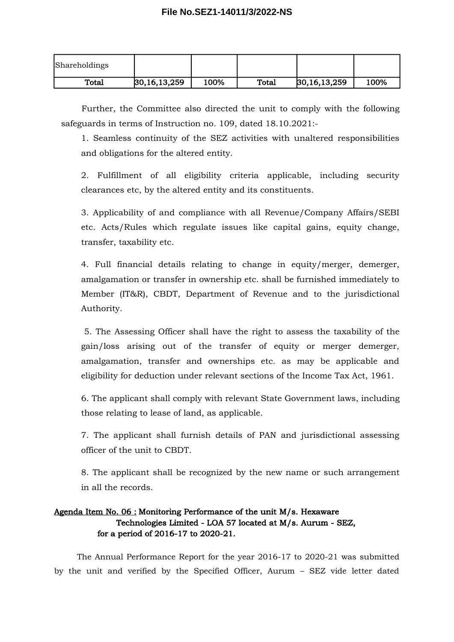| Shareholdings |                        |      |       |                        |      |
|---------------|------------------------|------|-------|------------------------|------|
| Total         | $ 30,16,13,259\rangle$ | 100% | Total | $ 30,16,13,259\rangle$ | 100% |

Further, the Committee also directed the unit to comply with the following safeguards in terms of Instruction no. 109, dated 18.10.2021:-

1. Seamless continuity of the SEZ activities with unaltered responsibilities and obligations for the altered entity.

2. Fulfillment of all eligibility criteria applicable, including security clearances etc, by the altered entity and its constituents.

3. Applicability of and compliance with all Revenue/Company Affairs/SEBI etc. Acts/Rules which regulate issues like capital gains, equity change, transfer, taxability etc.

4. Full financial details relating to change in equity/merger, demerger, amalgamation or transfer in ownership etc. shall be furnished immediately to Member (IT&R), CBDT, Department of Revenue and to the jurisdictional Authority.

5. The Assessing Officer shall have the right to assess the taxability of the gain/loss arising out of the transfer of equity or merger demerger, amalgamation, transfer and ownerships etc. as may be applicable and eligibility for deduction under relevant sections of the Income Tax Act, 1961.

6. The applicant shall comply with relevant State Government laws, including those relating to lease of land, as applicable.

7. The applicant shall furnish details of PAN and jurisdictional assessing officer of the unit to CBDT.

8. The applicant shall be recognized by the new name or such arrangement in all the records.

### Agenda Item No. 06 : Monitoring Performance of the unit M/s. Hexaware Technologies Limited - LOA 57 located at M/s. Aurum - SEZ, for a period of 2016-17 to 2020-21.

The Annual Performance Report for the year 2016-17 to 2020-21 was submitted by the unit and verified by the Specified Officer, Aurum – SEZ vide letter dated